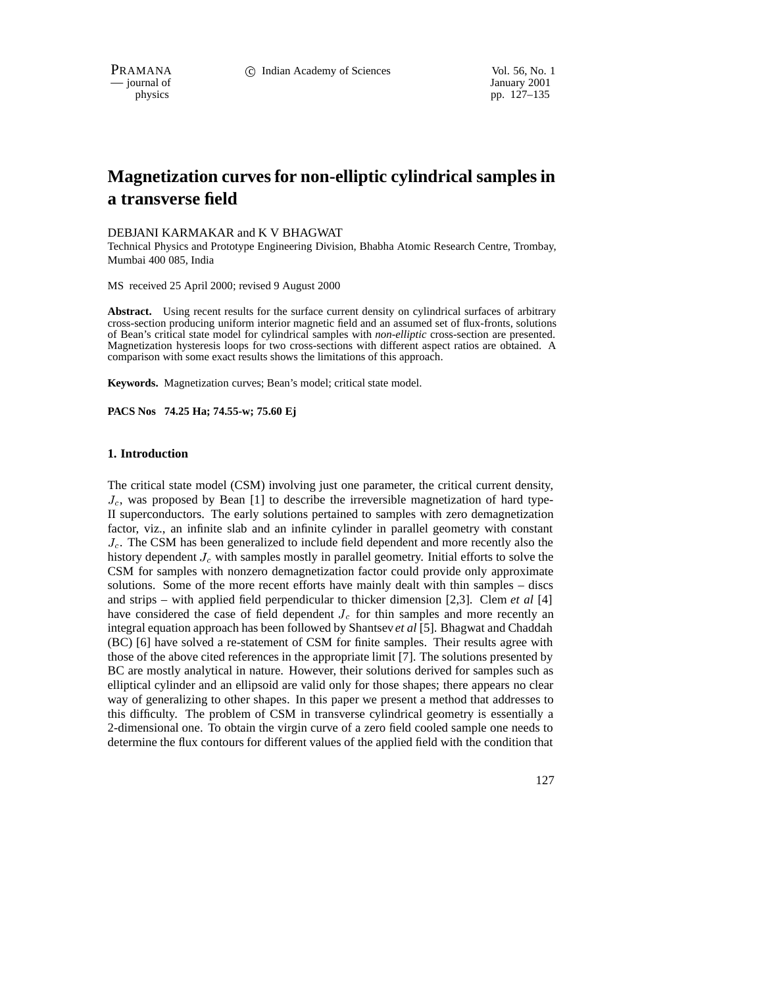— journal of

physics pp. 127–135

# **Magnetization curves for non-elliptic cylindrical samples in a transverse field**

### DEBJANI KARMAKAR and K V BHAGWAT

Technical Physics and Prototype Engineering Division, Bhabha Atomic Research Centre, Trombay, Mumbai 400 085, India

MS received 25 April 2000; revised 9 August 2000

**Abstract.** Using recent results for the surface current density on cylindrical surfaces of arbitrary cross-section producing uniform interior magnetic field and an assumed set of flux-fronts, solutions of Bean's critical state model for cylindrical samples with *non-elliptic* cross-section are presented. Magnetization hysteresis loops for two cross-sections with different aspect ratios are obtained. A comparison with some exact results shows the limitations of this approach.

**Keywords.** Magnetization curves; Bean's model; critical state model.

**PACS Nos 74.25 Ha; 74.55-w; 75.60 Ej**

# **1. Introduction**

The critical state model (CSM) involving just one parameter, the critical current density,  $J_c$ , was proposed by Bean [1] to describe the irreversible magnetization of hard type-II superconductors. The early solutions pertained to samples with zero demagnetization factor, viz., an infinite slab and an infinite cylinder in parallel geometry with constant  $J_c$ . The CSM has been generalized to include field dependent and more recently also the history dependent  $J_c$  with samples mostly in parallel geometry. Initial efforts to solve the CSM for samples with nonzero demagnetization factor could provide only approximate solutions. Some of the more recent efforts have mainly dealt with thin samples – discs and strips – with applied field perpendicular to thicker dimension [2,3]. Clem *et al* [4] have considered the case of field dependent  $J_c$  for thin samples and more recently an integral equation approach has been followed by Shantsev *et al* [5]. Bhagwat and Chaddah (BC) [6] have solved a re-statement of CSM for finite samples. Their results agree with those of the above cited references in the appropriate limit [7]. The solutions presented by BC are mostly analytical in nature. However, their solutions derived for samples such as elliptical cylinder and an ellipsoid are valid only for those shapes; there appears no clear way of generalizing to other shapes. In this paper we present a method that addresses to this difficulty. The problem of CSM in transverse cylindrical geometry is essentially a 2-dimensional one. To obtain the virgin curve of a zero field cooled sample one needs to determine the flux contours for different values of the applied field with the condition that

127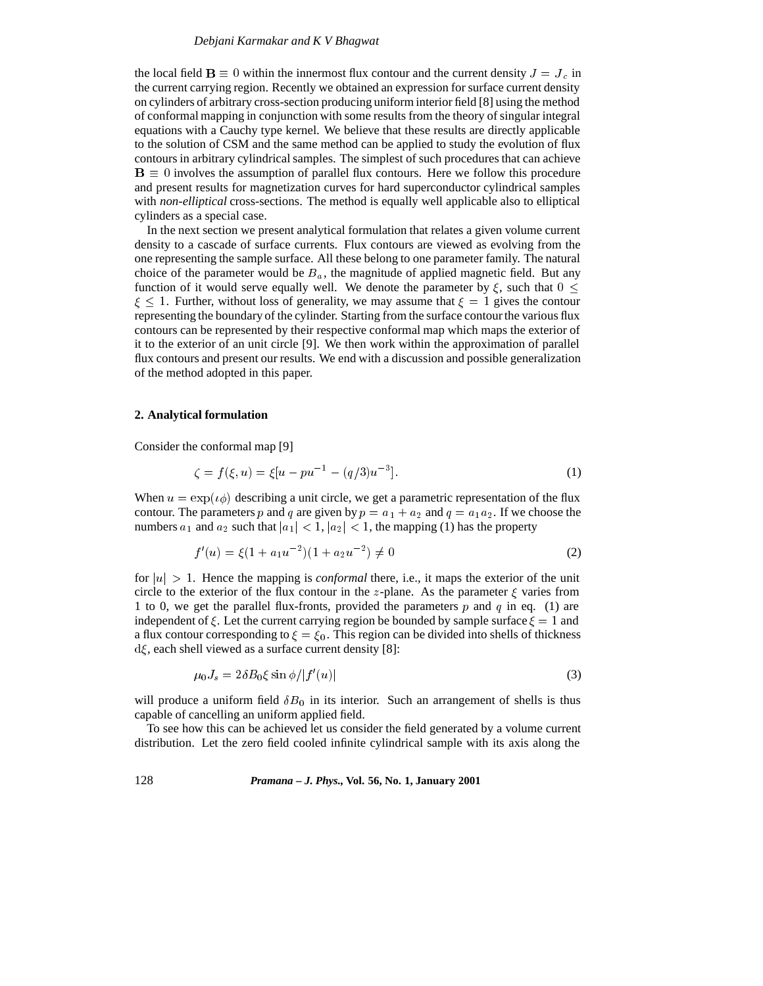the local field  $\mathbf{B} \equiv 0$  within the innermost flux contour and the current density  $J = J_c$  in the current carrying region. Recently we obtained an expression for surface current density on cylinders of arbitrary cross-section producing uniform interior field [8] using the method of conformal mapping in conjunction with some results from the theory of singular integral equations with a Cauchy type kernel. We believe that these results are directly applicable to the solution of CSM and the same method can be applied to study the evolution of flux contours in arbitrary cylindrical samples. The simplest of such procedures that can achieve  $B \equiv 0$  involves the assumption of parallel flux contours. Here we follow this procedure and present results for magnetization curves for hard superconductor cylindrical samples with *non-elliptical* cross-sections. The method is equally well applicable also to elliptical cylinders as a special case.

In the next section we present analytical formulation that relates a given volume current density to a cascade of surface currents. Flux contours are viewed as evolving from the one representing the sample surface. All these belong to one parameter family. The natural choice of the parameter would be  $B_a$ , the magnitude of applied magnetic field. But any function of it would serve equally well. We denote the parameter by  $\xi$ , such that  $0 \leq \xi$  $\xi$  < 1. Further, without loss of generality, we may assume that  $\xi$  = 1 gives the contour representing the boundary of the cylinder. Starting from the surface contour the various flux contours can be represented by their respective conformal map which maps the exterior of it to the exterior of an unit circle [9]. We then work within the approximation of parallel flux contours and present our results. We end with a discussion and possible generalization of the method adopted in this paper.

#### **2. Analytical formulation**

Consider the conformal map [9]

$$
\zeta = f(\xi, u) = \xi[u - pu^{-1} - (q/3)u^{-3}].\tag{1}
$$

When  $u = \exp(i\phi)$  describing a unit circle, we get a parametric representation of the flux contour. The parameters p and q are given by  $p = a_1 + a_2$  and  $q = a_1 a_2$ . If we choose the numbers  $a_1$  and  $a_2$  such that  $|a_1| < 1$ ,  $|a_2| < 1$ , the mapping (1) has the property

$$
f'(u) = \xi(1 + a_1 u^{-2})(1 + a_2 u^{-2}) \neq 0
$$
\n(2)

for  $|u| > 1$ . Hence the mapping is *conformal* there, i.e., it maps the exterior of the unit circle to the exterior of the flux contour in the z-plane. As the parameter  $\xi$  varies from 1 to 0, we get the parallel flux-fronts, provided the parameters p and q in eq. (1) are independent of  $\xi$ . Let the current carrying region be bounded by sample surface  $\xi = 1$  and a flux contour corresponding to  $\xi = \xi_0$ . This region can be divided into shells of thickness  $d\xi$ , each shell viewed as a surface current density [8]:

$$
\mu_0 J_s = 2\delta B_0 \xi \sin \phi / |f'(u)| \tag{3}
$$

will produce a uniform field  $\delta B_0$  in its interior. Such an arrangement of shells is thus capable of cancelling an uniform applied field.

To see how this can be achieved let us consider the field generated by a volume current distribution. Let the zero field cooled infinite cylindrical sample with its axis along the

128 *Pramana – J. Phys.,* **Vol. 56, No. 1, January 2001**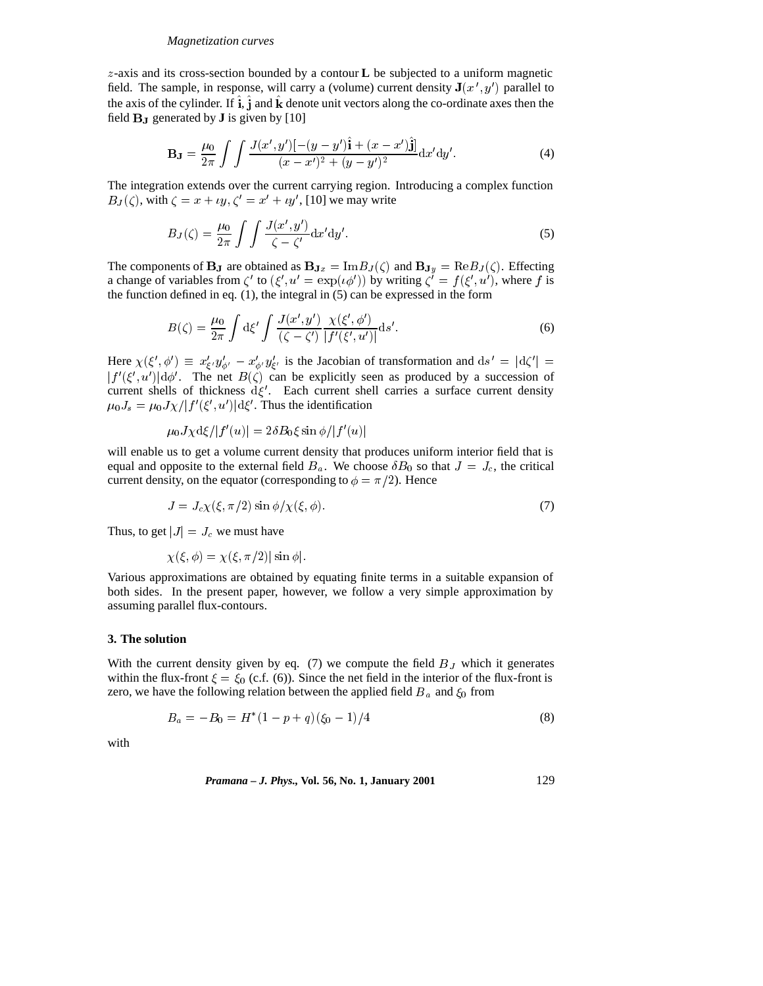#### *Magnetization curves*

z-axis and its cross-section bounded by a contour **L** be subjected to a uniform magnetic field. The sample, in response, will carry a (volume) current density  $J(x', y')$  parallel to the axis of the cylinder. If  $i, j$  and k denote unit vectors along the co-ordinate axes then the field BJ generated by **J** is given by [10]

$$
\mathbf{B}_{\mathbf{J}} = \frac{\mu_0}{2\pi} \int \int \frac{J(x', y')[-(y - y')\hat{\mathbf{i}} + (x - x')\hat{\mathbf{j}}]}{(x - x')^2 + (y - y')^2} dx' dy'.
$$
 (4)

The integration extends over the current carrying region. Introducing a complex function  $B_J(\zeta)$ , with  $\zeta = x + \iota y, \zeta' = x' + \iota y'$ , [10] we may write

$$
B_J(\zeta) = \frac{\mu_0}{2\pi} \int \int \frac{J(x', y')}{\zeta - \zeta'} \mathrm{d}x' \mathrm{d}y'.\tag{5}
$$

The components of **B**<sub>J</sub> are obtained as  $B_{Jx} = Im B_J(\zeta)$  and  $B_{Jy} = Re B_J(\zeta)$ . Effecting a change of variables from  $\zeta'$  to  $(\xi', u' = \exp(i\phi'))$  by writing  $\zeta' = f(\xi', u')$ , where f is the function defined in eq. (1), the integral in (5) can be expressed in the form

$$
B(\zeta) = \frac{\mu_0}{2\pi} \int d\xi' \int \frac{J(x', y')}{(\zeta - \zeta')} \frac{\chi(\xi', \phi')}{|f'(\xi', u')|} ds'.
$$
 (6)

Here  $\chi(\xi', \phi') \equiv x'_{\xi'} y'_{\phi'} - x'_{\phi'} y'_{\xi'}$  is the Jacobian of transformation and  $ds' = |d\zeta'| =$  $|f'(\xi', u')| d\phi'$ . The net  $B(\zeta)$  can be explicitly seen as produced by a succession of current shells of thickness  $d\xi'$ . Each current shell carries a surface current density  $\mu_0 J_s = \mu_0 J \chi / |f'(\xi', u')| d\xi'.$  Thus the identification

$$
\mu_0 J\chi \mathrm{d} \xi/|f'(u)|=2\delta B_0 \xi \sin \phi/|f'(u)|
$$

will enable us to get a volume current density that produces uniform interior field that is equal and opposite to the external field  $B_a$ . We choose  $\delta B_0$  so that  $J = J_c$ , the critical current density, on the equator (corresponding to  $\phi = \pi/2$ ). Hence

$$
J = J_c \chi(\xi, \pi/2) \sin \phi / \chi(\xi, \phi). \tag{7}
$$

Thus, to get  $|J| = J_c$  we must have

$$
\chi(\xi, \phi) = \chi(\xi, \pi/2) |\sin \phi|.
$$

Various approximations are obtained by equating finite terms in a suitable expansion of both sides. In the present paper, however, we follow a very simple approximation by assuming parallel flux-contours.

## **3. The solution**

With the current density given by eq. (7) we compute the field  $B_J$  which it generates within the flux-front  $\xi = \xi_0$  (c.f. (6)). Since the net field in the interior of the flux-front is zero, we have the following relation between the applied field  $B_a$  and  $\xi_0$  from

$$
B_a = -B_0 = H^*(1 - p + q)(\xi_0 - 1)/4
$$
\n(8)

with

*Pramana – J. Phys.,* **Vol. 56, No. 1, January 2001** 129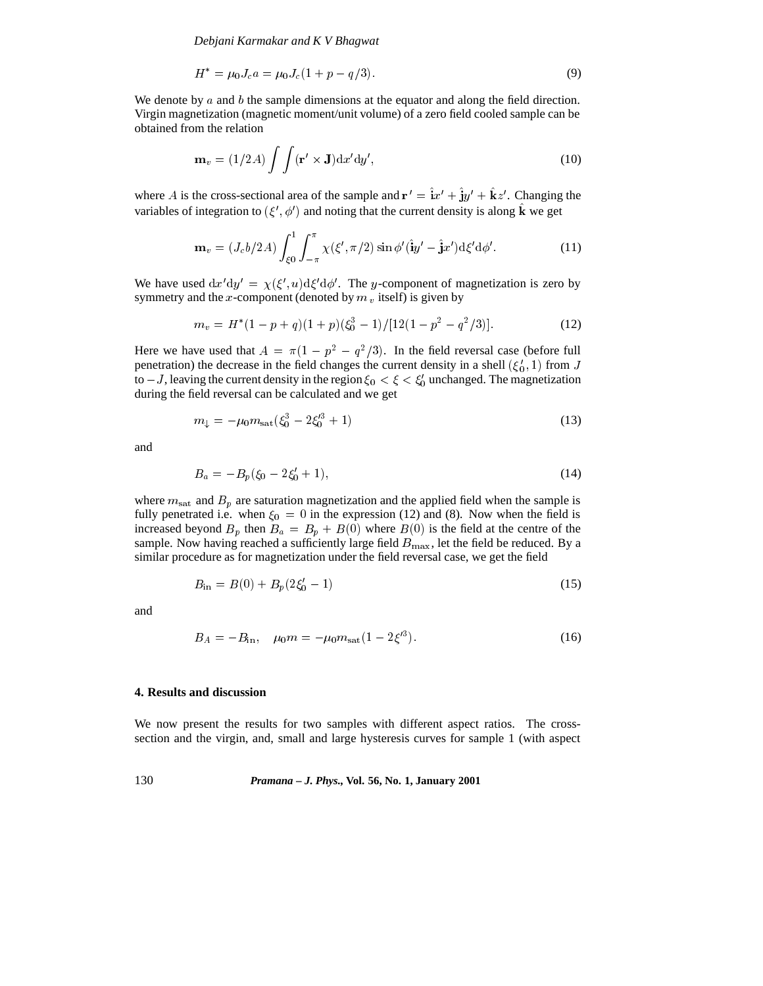*Debjani Karmakar and K V Bhagwat*

$$
H^* = \mu_0 J_c a = \mu_0 J_c (1 + p - q/3). \tag{9}
$$

We denote by  $\alpha$  and  $\beta$  the sample dimensions at the equator and along the field direction. Virgin magnetization (magnetic moment/unit volume) of a zero field cooled sample can be obtained from the relation

$$
\mathbf{m}_v = (1/2A) \int \int (\mathbf{r}' \times \mathbf{J}) \mathrm{d}x' \mathrm{d}y', \tag{10}
$$

where A is the cross-sectional area of the sample and  $\mathbf{r}' = \mathbf{i}x' + \mathbf{j}y' + \mathbf{k}z'$ . Changing the variables of integration to  $(\xi', \phi')$  and noting that the current density is along **k** we get

$$
\mathbf{m}_{v} = (J_{c}b/2A) \int_{\xi_{0}}^{1} \int_{-\pi}^{\pi} \chi(\xi', \pi/2) \sin \phi'(\hat{\mathbf{i}}y' - \hat{\mathbf{j}}x') d\xi' d\phi'. \tag{11}
$$

We have used  $dx'dy' = \chi(\xi', u)d\xi'd\phi'.$  The y-component of magnetization is zero by symmetry and the x-component (denoted by  $m<sub>v</sub>$  itself) is given by

$$
m_v = H^*(1 - p + q)(1 + p)(\xi_0^3 - 1)/[12(1 - p^2 - q^2/3)].
$$
\n(12)

Here we have used that  $A = \pi(1 - p^2 - q^2/3)$ . In the field reversal case (before full penetration) the decrease in the field changes the current density in a shell  $(\xi_0', 1)$  from J to  $-J$ , leaving the current density in the region  $\xi_0 < \xi < \xi'_0$  unchanged. The magnetization during the field reversal can be calculated and we get

$$
m_{\downarrow} = -\mu_0 m_{\rm sat} (\xi_0^3 - 2\xi_0^{\prime 3} + 1) \tag{13}
$$

and

$$
B_a = -B_p(\xi_0 - 2\xi'_0 + 1),\tag{14}
$$

where  $m_{\text{sat}}$  and  $B_p$  are saturation magnetization and the applied field when the sample is fully penetrated i.e. when  $\xi_0 = 0$  in the expression (12) and (8). Now when the field is increased beyond  $B_p$  then  $B_a = B_p + B(0)$  where  $B(0)$  is the field at the centre of the sample. Now having reached a sufficiently large field  $B_{\text{max}}$ , let the field be reduced. By a similar procedure as for magnetization under the field reversal case, we get the field

$$
B_{\rm in} = B(0) + B_p(2\xi_0' - 1) \tag{15}
$$

and

$$
B_A = -B_{\rm in}, \quad \mu_0 m = -\mu_0 m_{\rm sat} (1 - 2\xi'^3). \tag{16}
$$

# **4. Results and discussion**

We now present the results for two samples with different aspect ratios. The crosssection and the virgin, and, small and large hysteresis curves for sample 1 (with aspect

130 *Pramana – J. Phys.,* **Vol. 56, No. 1, January 2001**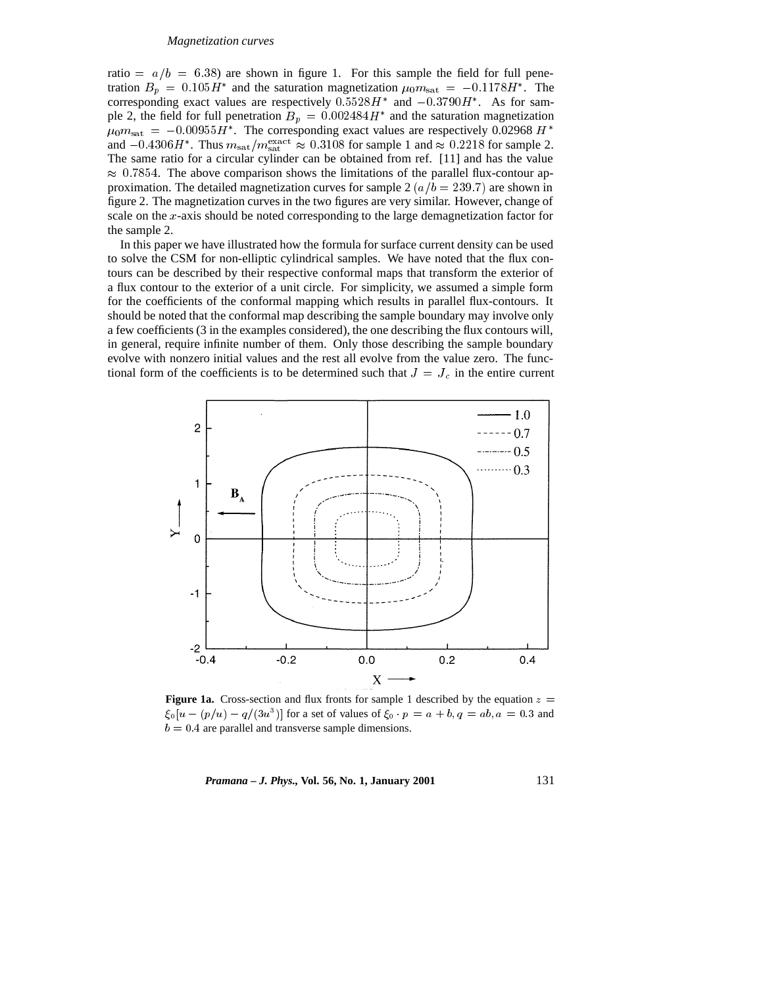#### *Magnetization curves*

ratio =  $a/b = 6.38$ ) are shown in figure 1. For this sample the field for full penetration  $B_p = 0.105H^*$  and the saturation magnetization  $\mu_0 m_{\text{sat}} = -0.1178H^*$ . The corresponding exact values are respectively  $0.5528H^*$  and  $-0.3790H^*$ . As for sample 2, the field for full penetration  $B_p = 0.002484H^*$  and the saturation magnetization  $\mu_0 m_{\text{sat}} = -0.00955 H^*$ . The corresponding exact values are respectively 0.02968 H  $^*$ and  $-0.4306H^*$ . Thus  $m_{\text{sat}}/m_{\text{sat}}^{\text{exact}} \approx 0.3108$  for sample 1 and  $\approx 0.2218$  for sample 2. The same ratio for a circular cylinder can be obtained from ref. [11] and has the value  $\approx 0.7854$ . The above comparison shows the limitations of the parallel flux-contour approximation. The detailed magnetization curves for sample 2  $(a/b = 239.7)$  are shown in figure 2. The magnetization curves in the two figures are very similar. However, change of scale on the x-axis should be noted corresponding to the large demagnetization factor for the sample 2.

In this paper we have illustrated how the formula for surface current density can be used to solve the CSM for non-elliptic cylindrical samples. We have noted that the flux contours can be described by their respective conformal maps that transform the exterior of a flux contour to the exterior of a unit circle. For simplicity, we assumed a simple form for the coefficients of the conformal mapping which results in parallel flux-contours. It should be noted that the conformal map describing the sample boundary may involve only a few coefficients (3 in the examples considered), the one describing the flux contours will, in general, require infinite number of them. Only those describing the sample boundary evolve with nonzero initial values and the rest all evolve from the value zero. The functional form of the coefficients is to be determined such that  $J = J_c$  in the entire current



**Figure 1a.** Cross-section and flux fronts for sample 1 described by the equation  $z =$  $\xi_0[u - (p/u) - q/(3u^3)]$  for a set of values of  $\xi_0 \cdot p = a + b, q = ab, a = 0.3$  and  $b = 0.4$  are parallel and transverse sample dimensions.

*Pramana – J. Phys.,* **Vol. 56, No. 1, January 2001** 131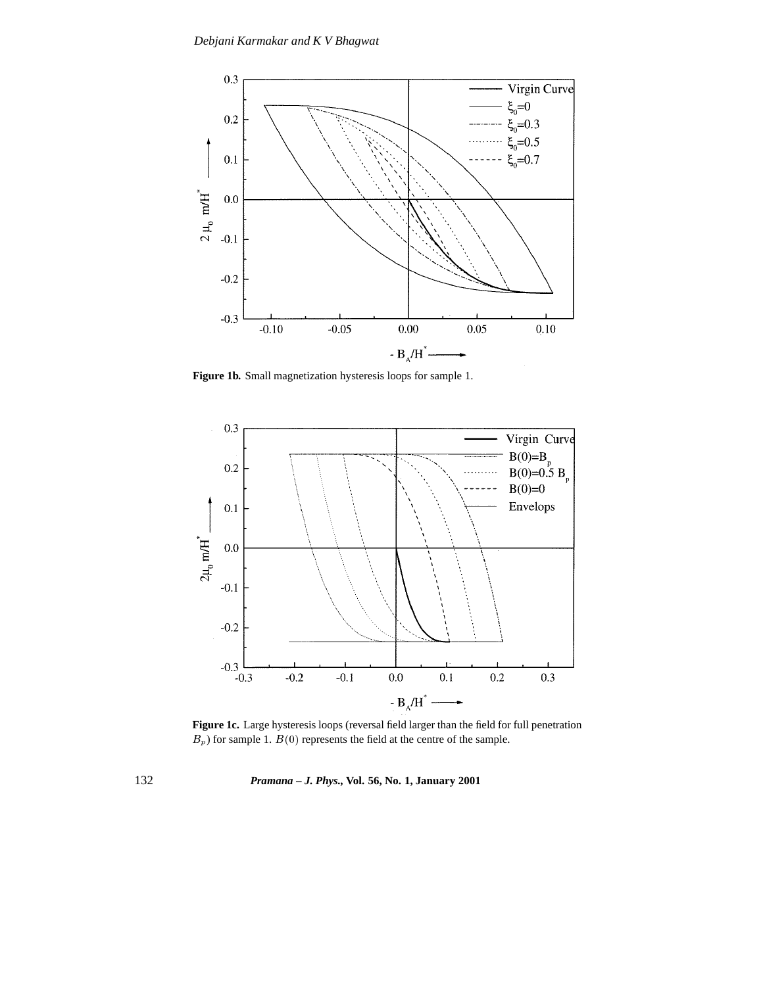

**Figure 1b.** Small magnetization hysteresis loops for sample 1.



Figure 1c. Large hysteresis loops (reversal field larger than the field for full penetration  $B_p$ ) for sample 1.  $B(0)$  represents the field at the centre of the sample.

132 *Pramana – J. Phys.,* **Vol. 56, No. 1, January 2001**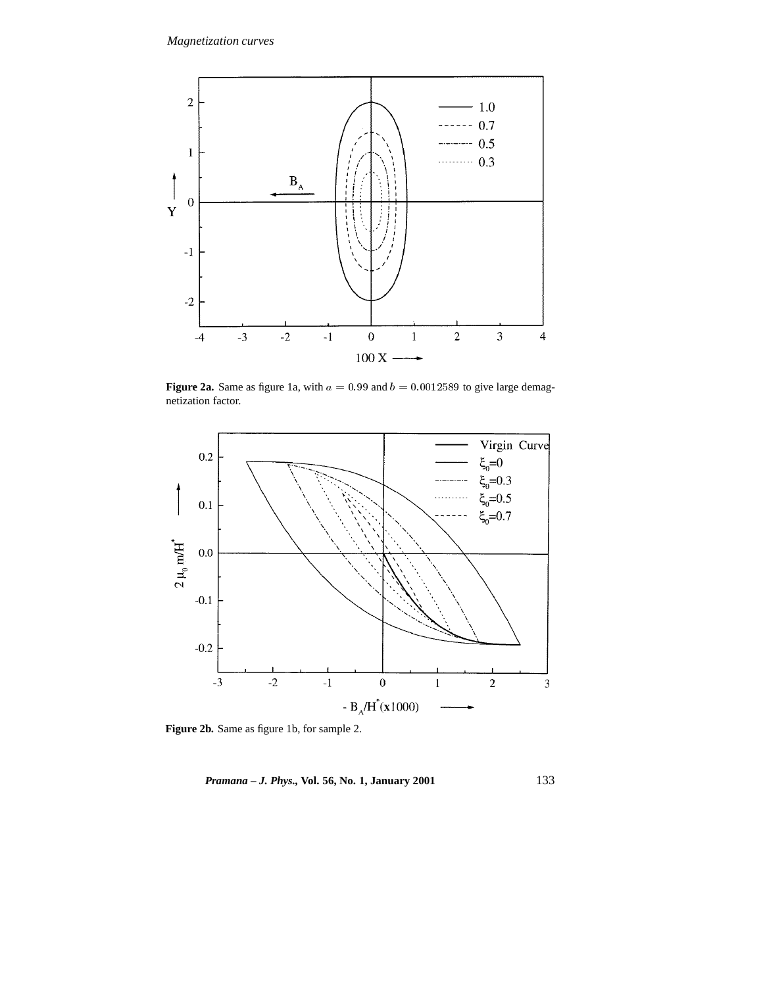

**Figure 2a.** Same as figure 1a, with  $a = 0.99$  and  $b = 0.0012589$  to give large demagnetization factor.



**Figure 2b.** Same as figure 1b, for sample 2.

*Pramana – J. Phys.,* **Vol. 56, No. 1, January 2001** 133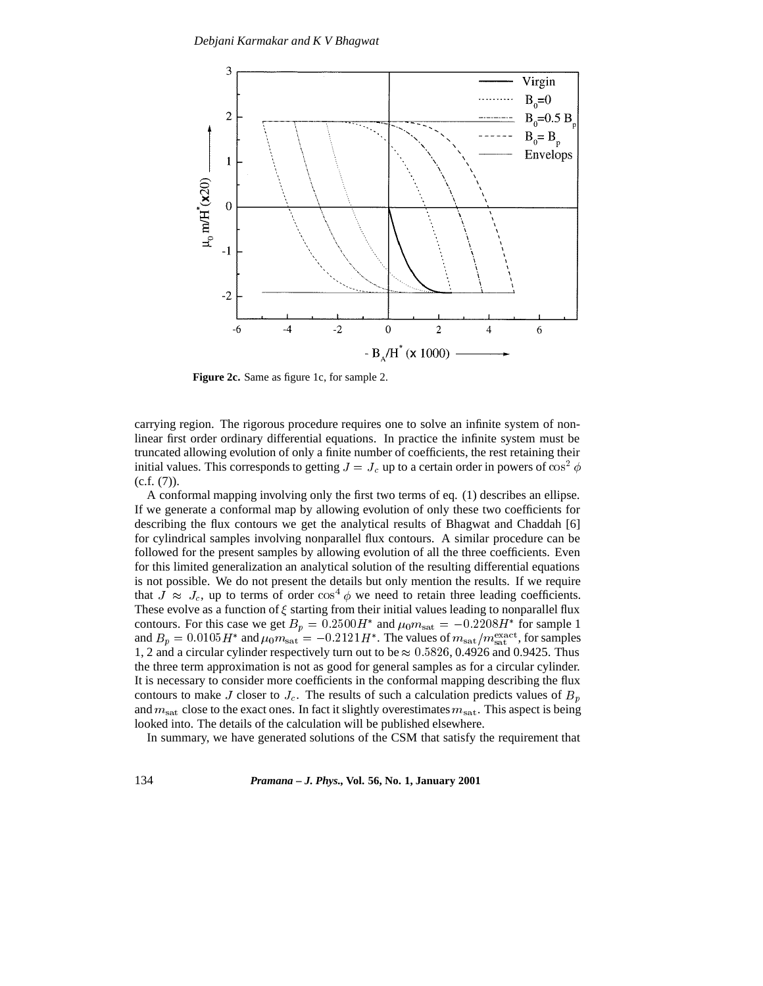

**Figure 2c.** Same as figure 1c, for sample 2.

carrying region. The rigorous procedure requires one to solve an infinite system of nonlinear first order ordinary differential equations. In practice the infinite system must be truncated allowing evolution of only a finite number of coefficients, the rest retaining their initial values. This corresponds to getting  $J = J_c$  up to a certain order in powers of cos<sup>2</sup>  $\phi$  $(c.f. (7)).$ 

A conformal mapping involving only the first two terms of eq. (1) describes an ellipse. If we generate a conformal map by allowing evolution of only these two coefficients for describing the flux contours we get the analytical results of Bhagwat and Chaddah [6] for cylindrical samples involving nonparallel flux contours. A similar procedure can be followed for the present samples by allowing evolution of all the three coefficients. Even for this limited generalization an analytical solution of the resulting differential equations is not possible. We do not present the details but only mention the results. If we require that  $J \approx J_c$ , up to terms of order  $\cos^4 \phi$  we need to retain three leading coefficients. These evolve as a function of  $\xi$  starting from their initial values leading to nonparallel flux contours. For this case we get  $B_p = 0.2500H^*$  and  $\mu_0 m_{\text{sat}} = -0.2208H^*$  for sample 1 and  $B_p = 0.0105H^*$  and  $\mu_0 m_{\text{sat}} = -0.2121H^*$ . The values of  $m_{\text{sat}}/m_{\text{sat}}^{\text{exact}}$ , for samples 1, 2 and a circular cylinder respectively turn out to be  $\approx 0.5826, 0.4926$  and 0.9425. Thus the three term approximation is not as good for general samples as for a circular cylinder. It is necessary to consider more coefficients in the conformal mapping describing the flux contours to make J closer to  $J_c$ . The results of such a calculation predicts values of  $B_p$ and  $m_{\text{sat}}$  close to the exact ones. In fact it slightly overestimates  $m_{\text{sat}}$ . This aspect is being looked into. The details of the calculation will be published elsewhere.

In summary, we have generated solutions of the CSM that satisfy the requirement that

134 *Pramana – J. Phys.,* **Vol. 56, No. 1, January 2001**